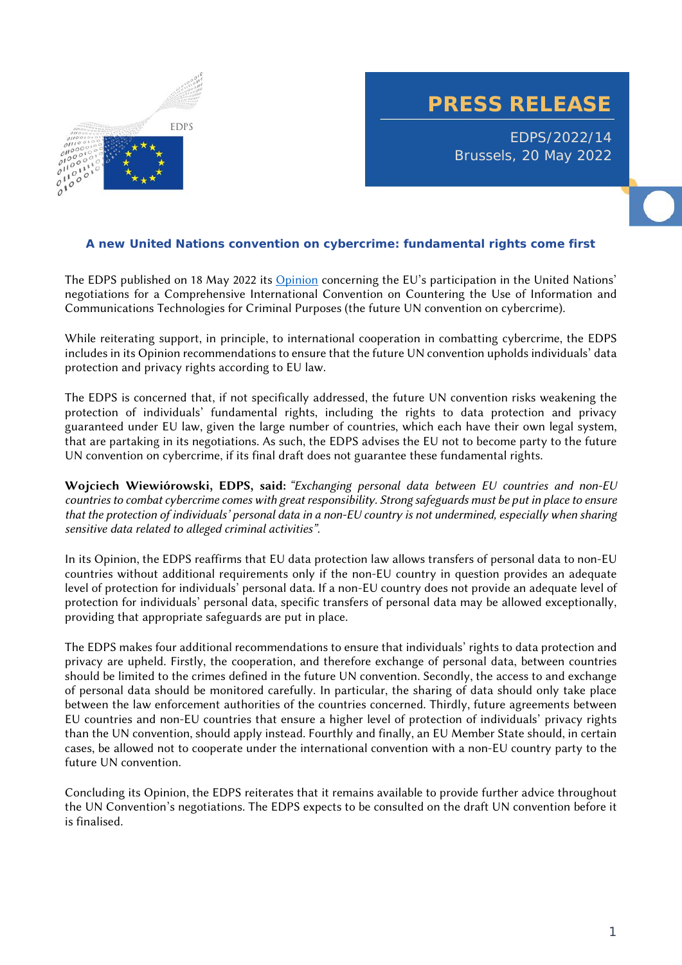

**PRESS RELEASE**

EDPS/2022/14 Brussels, 20 May 2022

## **A new United Nations convention on cybercrime: fundamental rights come first**

The EDPS published on 18 May 2022 its Opinion concerning the EU's participation in the United Nations' negotiations for a Comprehensive International Convention on Countering the Use of Information and Communications Technologies for Criminal Purposes (the future UN convention on cybercrime).

While reiterating support, in principle, to international cooperation in combatting cybercrime, the EDPS includes in its Opinion recommendations to ensure that the future UN convention upholds individuals' data protection and privacy rights according to EU law.

The EDPS is concerned that, if not specifically addressed, the future UN convention risks weakening the protection of individuals' fundamental rights, including the rights to data protection and privacy guaranteed under EU law, given the large number of countries, which each have their own legal system, that are partaking in its negotiations. As such, the EDPS advises the EU not to become party to the future UN convention on cybercrime, if its final draft does not guarantee these fundamental rights.

**Wojciech Wiewiórowski, EDPS, said:** *"Exchanging personal data between EU countries and non-EU countries to combat cybercrime comes with great responsibility. Strong safeguards must be put in place to ensure that the protection of individuals' personal data in a non-EU country is not undermined, especially when sharing sensitive data related to alleged criminal activities".*

In its Opinion, the EDPS reaffirms that EU data protection law allows transfers of personal data to non-EU countries without additional requirements only if the non-EU country in question provides an adequate level of protection for individuals' personal data. If a non-EU country does not provide an adequate level of protection for individuals' personal data, specific transfers of personal data may be allowed exceptionally, providing that appropriate safeguards are put in place.

The EDPS makes four additional recommendations to ensure that individuals' rights to data protection and privacy are upheld. Firstly, the cooperation, and therefore exchange of personal data, between countries should be limited to the crimes defined in the future UN convention. Secondly, the access to and exchange of personal data should be monitored carefully. In particular, the sharing of data should only take place between the law enforcement authorities of the countries concerned. Thirdly, future agreements between EU countries and non-EU countries that ensure a higher level of protection of individuals' privacy rights than the UN convention, should apply instead. Fourthly and finally, an EU Member State should, in certain cases, be allowed not to cooperate under the international convention with a non-EU country party to the future UN convention.

Concluding its Opinion, the EDPS reiterates that it remains available to provide further advice throughout the UN Convention's negotiations. The EDPS expects to be consulted on the draft UN convention before it is finalised.